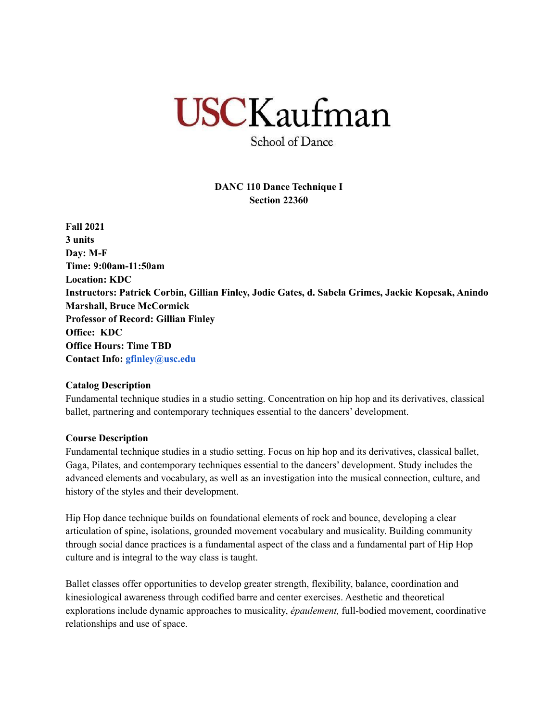# **USCKaufman**

School of Dance

# **DANC 110 Dance Technique I Section 22360**

**Fall 2021 3 units Day: M-F Time: 9:00am-11:50am Location: KDC Instructors: Patrick Corbin, Gillian Finley, Jodie Gates, d. Sabela Grimes, Jackie Kopcsak, Anindo Marshall, Bruce McCormick Professor of Record: Gillian Finley Office: KDC Office Hours: Time TBD Contact Info: gfinley@usc.edu**

#### **Catalog Description**

Fundamental technique studies in a studio setting. Concentration on hip hop and its derivatives, classical ballet, partnering and contemporary techniques essential to the dancers' development.

# **Course Description**

Fundamental technique studies in a studio setting. Focus on hip hop and its derivatives, classical ballet, Gaga, Pilates, and contemporary techniques essential to the dancers' development. Study includes the advanced elements and vocabulary, as well as an investigation into the musical connection, culture, and history of the styles and their development.

Hip Hop dance technique builds on foundational elements of rock and bounce, developing a clear articulation of spine, isolations, grounded movement vocabulary and musicality. Building community through social dance practices is a fundamental aspect of the class and a fundamental part of Hip Hop culture and is integral to the way class is taught.

Ballet classes offer opportunities to develop greater strength, flexibility, balance, coordination and kinesiological awareness through codified barre and center exercises. Aesthetic and theoretical explorations include dynamic approaches to musicality, *épaulement,* full-bodied movement, coordinative relationships and use of space.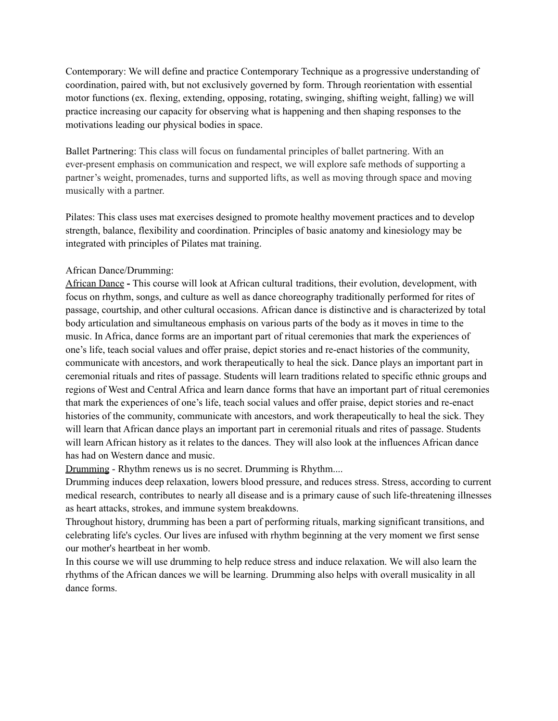Contemporary: We will define and practice Contemporary Technique as a progressive understanding of coordination, paired with, but not exclusively governed by form. Through reorientation with essential motor functions (ex. flexing, extending, opposing, rotating, swinging, shifting weight, falling) we will practice increasing our capacity for observing what is happening and then shaping responses to the motivations leading our physical bodies in space.

Ballet Partnering: This class will focus on fundamental principles of ballet partnering. With an ever-present emphasis on communication and respect, we will explore safe methods of supporting a partner's weight, promenades, turns and supported lifts, as well as moving through space and moving musically with a partner.

Pilates: This class uses mat exercises designed to promote healthy movement practices and to develop strength, balance, flexibility and coordination. Principles of basic anatomy and kinesiology may be integrated with principles of Pilates mat training.

#### African Dance/Drumming:

African Dance **-** This course will look at African cultural traditions, their evolution, development, with focus on rhythm, songs, and culture as well as dance choreography traditionally performed for rites of passage, courtship, and other cultural occasions. African dance is distinctive and is characterized by total body articulation and simultaneous emphasis on various parts of the body as it moves in time to the music. In Africa, dance forms are an important part of ritual ceremonies that mark the experiences of one's life, teach social values and offer praise, depict stories and re-enact histories of the community, communicate with ancestors, and work therapeutically to heal the sick. Dance plays an important part in ceremonial rituals and rites of passage. Students will learn traditions related to specific ethnic groups and regions of West and Central Africa and learn dance forms that have an important part of ritual ceremonies that mark the experiences of one's life, teach social values and offer praise, depict stories and re-enact histories of the community, communicate with ancestors, and work therapeutically to heal the sick. They will learn that African dance plays an important part in ceremonial rituals and rites of passage. Students will learn African history as it relates to the dances. They will also look at the influences African dance has had on Western dance and music.

Drumming - Rhythm renews us is no secret. Drumming is Rhythm....

Drumming induces deep relaxation, lowers blood pressure, and reduces stress. Stress, according to current medical research, contributes to nearly all disease and is a primary cause of such life-threatening illnesses as heart attacks, strokes, and immune system breakdowns.

Throughout history, drumming has been a part of performing rituals, marking significant transitions, and celebrating life's cycles. Our lives are infused with rhythm beginning at the very moment we first sense our mother's heartbeat in her womb.

In this course we will use drumming to help reduce stress and induce relaxation. We will also learn the rhythms of the African dances we will be learning. Drumming also helps with overall musicality in all dance forms.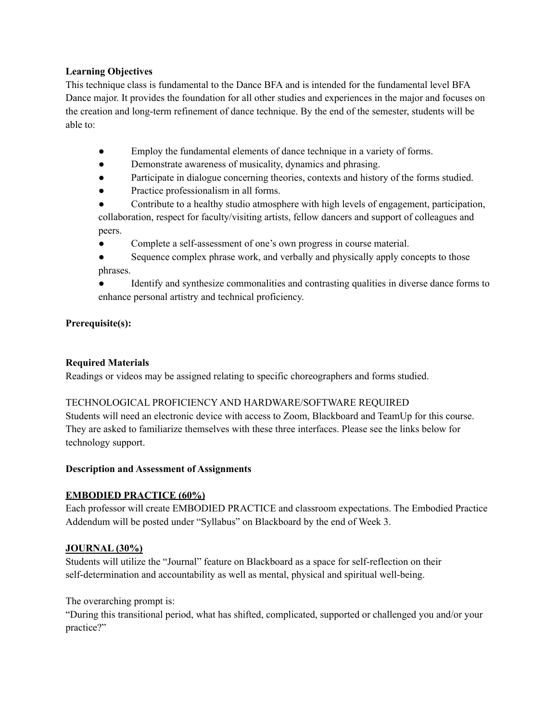### **Learning Objectives**

This technique class is fundamental to the Dance BFA and is intended for the fundamental level BFA Dance major. It provides the foundation for all other studies and experiences in the major and focuses on the creation and long-term refinement of dance technique. By the end of the semester, students will be able to:

- Employ the fundamental elements of dance technique in a variety of forms.
- Demonstrate awareness of musicality, dynamics and phrasing.
- Participate in dialogue concerning theories, contexts and history of the forms studied.
- Practice professionalism in all forms.
- Contribute to a healthy studio atmosphere with high levels of engagement, participation, collaboration, respect for faculty/visiting artists, fellow dancers and support of colleagues and peers.
- Complete a self-assessment of one's own progress in course material.
- Sequence complex phrase work, and verbally and physically apply concepts to those phrases.
- Identify and synthesize commonalities and contrasting qualities in diverse dance forms to enhance personal artistry and technical proficiency.

# **Prerequisite(s):**

# **Required Materials**

Readings or videos may be assigned relating to specific choreographers and forms studied.

# TECHNOLOGICAL PROFICIENCY AND HARDWARE/SOFTWARE REQUIRED

Students will need an electronic device with access to Zoom, Blackboard and TeamUp for this course. They are asked to familiarize themselves with these three interfaces. Please see the links below for technology support.

# **Description and Assessment of Assignments**

# **EMBODIED PRACTICE (60%)**

Each professor will create EMBODIED PRACTICE and classroom expectations. The Embodied Practice Addendum will be posted under "Syllabus" on Blackboard by the end of Week 3.

# **JOURNAL (30%)**

Students will utilize the "Journal" feature on Blackboard as a space for self-reflection on their self-determination and accountability as well as mental, physical and spiritual well-being.

The overarching prompt is:

"During this transitional period, what has shifted, complicated, supported or challenged you and/or your practice?"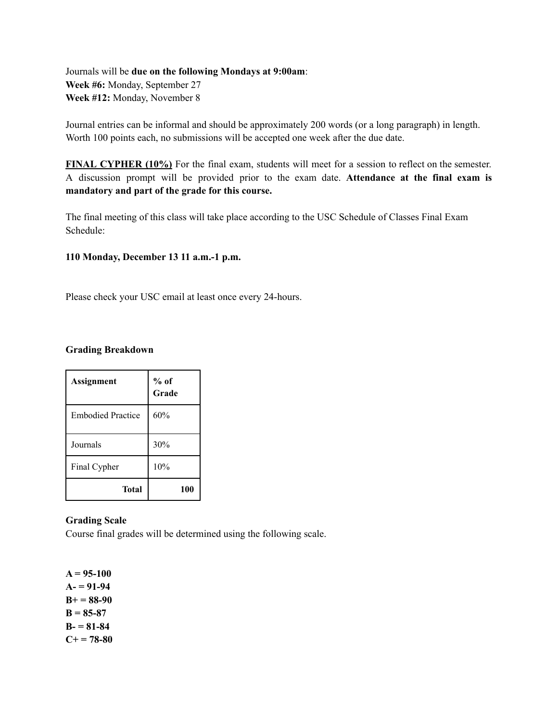Journals will be **due on the following Mondays at 9:00am**: **Week #6:** Monday, September 27 **Week #12:** Monday, November 8

Journal entries can be informal and should be approximately 200 words (or a long paragraph) in length. Worth 100 points each, no submissions will be accepted one week after the due date.

**FINAL CYPHER (10%)** For the final exam, students will meet for a session to reflect on the semester. A discussion prompt will be provided prior to the exam date. **Attendance at the final exam is mandatory and part of the grade for this course.**

The final meeting of this class will take place according to the USC Schedule of Classes Final Exam Schedule:

#### **110 Monday, December 13 11 a.m.-1 p.m.**

Please check your USC email at least once every 24-hours.

#### **Grading Breakdown**

| <b>Assignment</b>        | $%$ of<br>Grade |
|--------------------------|-----------------|
| <b>Embodied Practice</b> | 60%             |
| Journals                 | 30%             |
| Final Cypher             | 10%             |
| Total                    | 100             |

# **Grading Scale**

Course final grades will be determined using the following scale.

 $A = 95-100$ **A- = 91-94 B+ = 88-90**  $B = 85-87$ **B- = 81-84**  $C+ = 78-80$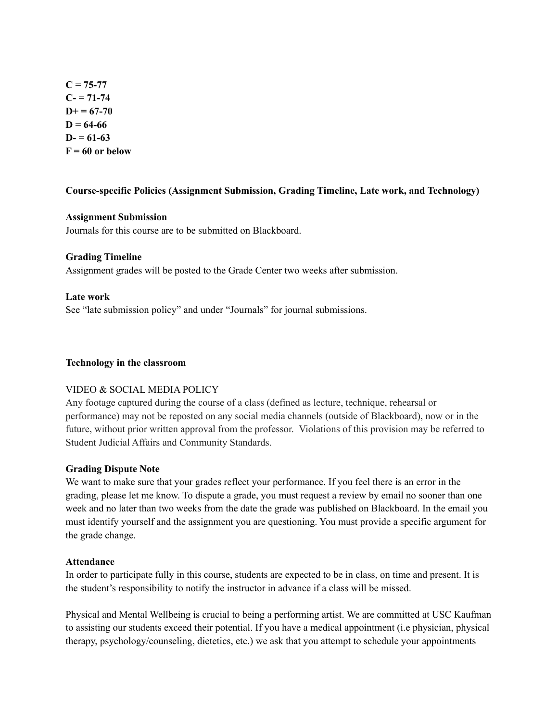$C = 75-77$  $C = 71-74$  $D+ = 67-70$  $D = 64-66$  $D = 61-63$  $F = 60$  or below

#### **Course-specific Policies (Assignment Submission, Grading Timeline, Late work, and Technology)**

#### **Assignment Submission**

Journals for this course are to be submitted on Blackboard.

#### **Grading Timeline**

Assignment grades will be posted to the Grade Center two weeks after submission.

#### **Late work**

See "late submission policy" and under "Journals" for journal submissions.

#### **Technology in the classroom**

#### VIDEO & SOCIAL MEDIA POLICY

Any footage captured during the course of a class (defined as lecture, technique, rehearsal or performance) may not be reposted on any social media channels (outside of Blackboard), now or in the future, without prior written approval from the professor. Violations of this provision may be referred to Student Judicial Affairs and Community Standards.

#### **Grading Dispute Note**

We want to make sure that your grades reflect your performance. If you feel there is an error in the grading, please let me know. To dispute a grade, you must request a review by email no sooner than one week and no later than two weeks from the date the grade was published on Blackboard. In the email you must identify yourself and the assignment you are questioning. You must provide a specific argument for the grade change.

#### **Attendance**

In order to participate fully in this course, students are expected to be in class, on time and present. It is the student's responsibility to notify the instructor in advance if a class will be missed.

Physical and Mental Wellbeing is crucial to being a performing artist. We are committed at USC Kaufman to assisting our students exceed their potential. If you have a medical appointment (i.e physician, physical therapy, psychology/counseling, dietetics, etc.) we ask that you attempt to schedule your appointments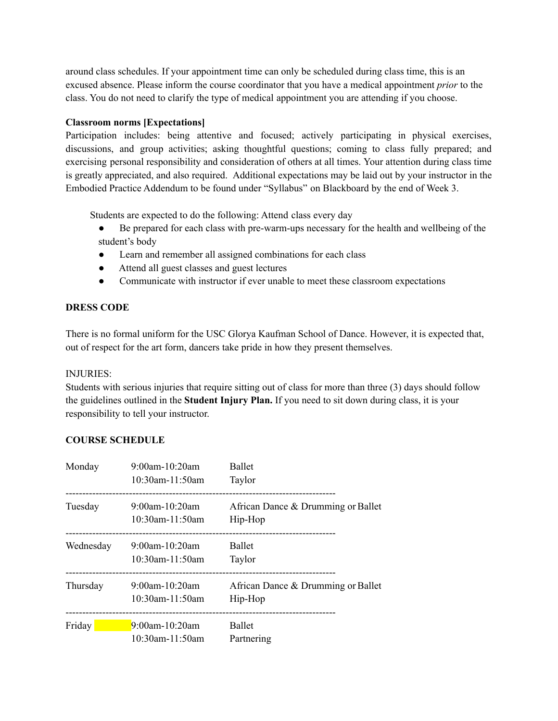around class schedules. If your appointment time can only be scheduled during class time, this is an excused absence. Please inform the course coordinator that you have a medical appointment *prior* to the class. You do not need to clarify the type of medical appointment you are attending if you choose.

### **Classroom norms [Expectations]**

Participation includes: being attentive and focused; actively participating in physical exercises, discussions, and group activities; asking thoughtful questions; coming to class fully prepared; and exercising personal responsibility and consideration of others at all times. Your attention during class time is greatly appreciated, and also required. Additional expectations may be laid out by your instructor in the Embodied Practice Addendum to be found under "Syllabus" on Blackboard by the end of Week 3.

Students are expected to do the following: Attend class every day

- Be prepared for each class with pre-warm-ups necessary for the health and wellbeing of the student's body
- Learn and remember all assigned combinations for each class
- Attend all guest classes and guest lectures
- Communicate with instructor if ever unable to meet these classroom expectations

#### **DRESS CODE**

There is no formal uniform for the USC Glorya Kaufman School of Dance. However, it is expected that, out of respect for the art form, dancers take pride in how they present themselves.

#### INJURIES:

Students with serious injuries that require sitting out of class for more than three (3) days should follow the guidelines outlined in the **Student Injury Plan.** If you need to sit down during class, it is your responsibility to tell your instructor.

# **COURSE SCHEDULE**

| Monday    | $9:00$ am-10:20am<br>$10:30$ am-11:50am | <b>Ballet</b><br>Taylor                       |
|-----------|-----------------------------------------|-----------------------------------------------|
| Tuesday   | $9:00$ am-10:20am<br>$10:30$ am-11:50am | African Dance & Drumming or Ballet<br>Hip-Hop |
| Wednesday | $9:00$ am-10:20am<br>$10:30$ am-11:50am | <b>Ballet</b><br>Taylor                       |
| Thursday  | 9:00am-10:20am<br>10:30am-11:50am       | African Dance & Drumming or Ballet<br>Hip-Hop |
| Friday    | $9:00$ am-10:20am<br>10:30am-11:50am    | Ballet<br>Partnering                          |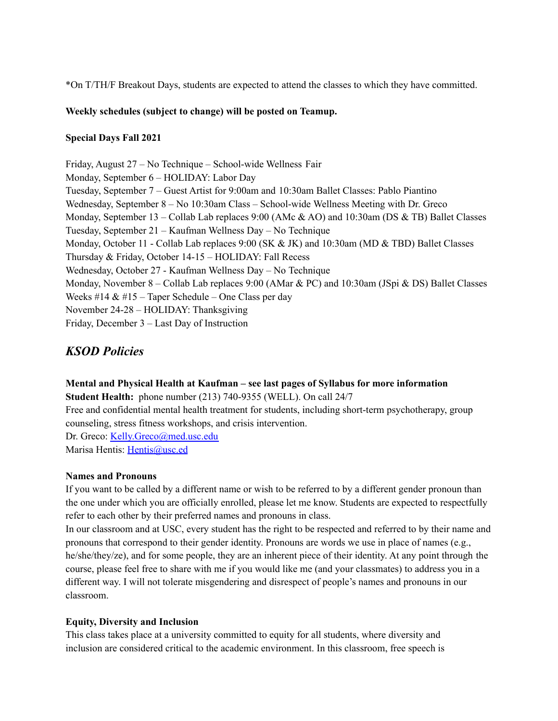\*On T/TH/F Breakout Days, students are expected to attend the classes to which they have committed.

#### **Weekly schedules (subject to change) will be posted on Teamup.**

#### **Special Days Fall 2021**

Friday, August 27 – No Technique – School-wide Wellness Fair Monday, September 6 – HOLIDAY: Labor Day Tuesday, September 7 – Guest Artist for 9:00am and 10:30am Ballet Classes: Pablo Piantino Wednesday, September 8 – No 10:30am Class – School-wide Wellness Meeting with Dr. Greco Monday, September 13 – Collab Lab replaces 9:00 (AMc & AO) and 10:30am (DS & TB) Ballet Classes Tuesday, September 21 – Kaufman Wellness Day – No Technique Monday, October 11 - Collab Lab replaces 9:00 (SK & JK) and 10:30am (MD & TBD) Ballet Classes Thursday & Friday, October 14-15 – HOLIDAY: Fall Recess Wednesday, October 27 - Kaufman Wellness Day – No Technique Monday, November 8 – Collab Lab replaces 9:00 (AMar & PC) and 10:30am (JSpi & DS) Ballet Classes Weeks #14  $& 415$  – Taper Schedule – One Class per day November 24-28 – HOLIDAY: Thanksgiving Friday, December 3 – Last Day of Instruction

# *KSOD Policies*

# **Mental and Physical Health at Kaufman – see last pages of Syllabus for more information**

**Student Health:** phone number (213) 740-9355 (WELL). On call 24/7

Free and confidential mental health treatment for students, including short-term psychotherapy, group counseling, stress fitness workshops, and crisis intervention.

Dr. Greco: Kelly.Greco@med.usc.edu Marisa Hentis: Hentis@usc.ed

#### **Names and Pronouns**

If you want to be called by a different name or wish to be referred to by a different gender pronoun than the one under which you are officially enrolled, please let me know. Students are expected to respectfully refer to each other by their preferred names and pronouns in class.

In our classroom and at USC, every student has the right to be respected and referred to by their name and pronouns that correspond to their gender identity. Pronouns are words we use in place of names (e.g., he/she/they/ze), and for some people, they are an inherent piece of their identity. At any point through the course, please feel free to share with me if you would like me (and your classmates) to address you in a different way. I will not tolerate misgendering and disrespect of people's names and pronouns in our classroom.

# **Equity, Diversity and Inclusion**

This class takes place at a university committed to equity for all students, where diversity and inclusion are considered critical to the academic environment. In this classroom, free speech is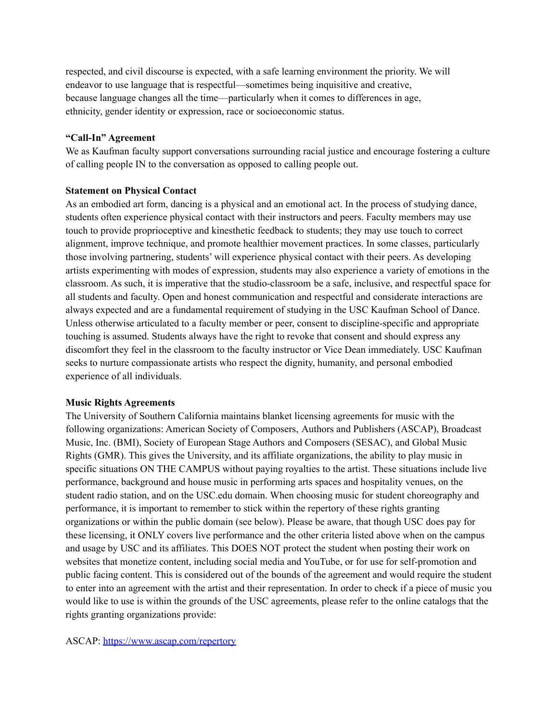respected, and civil discourse is expected, with a safe learning environment the priority. We will endeavor to use language that is respectful—sometimes being inquisitive and creative, because language changes all the time—particularly when it comes to differences in age, ethnicity, gender identity or expression, race or socioeconomic status.

#### **"Call-In" Agreement**

We as Kaufman faculty support conversations surrounding racial justice and encourage fostering a culture of calling people IN to the conversation as opposed to calling people out.

#### **Statement on Physical Contact**

As an embodied art form, dancing is a physical and an emotional act. In the process of studying dance, students often experience physical contact with their instructors and peers. Faculty members may use touch to provide proprioceptive and kinesthetic feedback to students; they may use touch to correct alignment, improve technique, and promote healthier movement practices. In some classes, particularly those involving partnering, students' will experience physical contact with their peers. As developing artists experimenting with modes of expression, students may also experience a variety of emotions in the classroom. As such, it is imperative that the studio-classroom be a safe, inclusive, and respectful space for all students and faculty. Open and honest communication and respectful and considerate interactions are always expected and are a fundamental requirement of studying in the USC Kaufman School of Dance. Unless otherwise articulated to a faculty member or peer, consent to discipline-specific and appropriate touching is assumed. Students always have the right to revoke that consent and should express any discomfort they feel in the classroom to the faculty instructor or Vice Dean immediately. USC Kaufman seeks to nurture compassionate artists who respect the dignity, humanity, and personal embodied experience of all individuals.

# **Music Rights Agreements**

The University of Southern California maintains blanket licensing agreements for music with the following organizations: American Society of Composers, Authors and Publishers (ASCAP), Broadcast Music, Inc. (BMI), Society of European Stage Authors and Composers (SESAC), and Global Music Rights (GMR). This gives the University, and its affiliate organizations, the ability to play music in specific situations ON THE CAMPUS without paying royalties to the artist. These situations include live performance, background and house music in performing arts spaces and hospitality venues, on the student radio station, and on the USC.edu domain. When choosing music for student choreography and performance, it is important to remember to stick within the repertory of these rights granting organizations or within the public domain (see below). Please be aware, that though USC does pay for these licensing, it ONLY covers live performance and the other criteria listed above when on the campus and usage by USC and its affiliates. This DOES NOT protect the student when posting their work on websites that monetize content, including social media and YouTube, or for use for self-promotion and public facing content. This is considered out of the bounds of the agreement and would require the student to enter into an agreement with the artist and their representation. In order to check if a piece of music you would like to use is within the grounds of the USC agreements, please refer to the online catalogs that the rights granting organizations provide:

ASCAP: <https://www.ascap.com/repertory>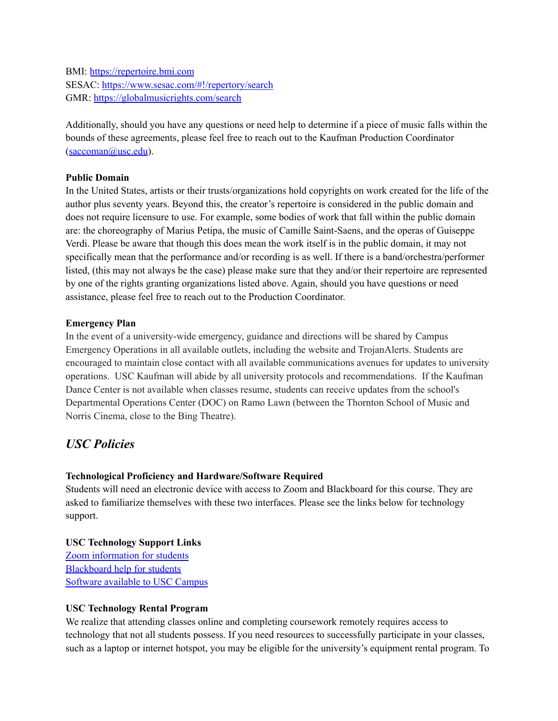BMI: <https://repertoire.bmi.com> SESAC: <https://www.sesac.com/#!/repertory/search> GMR: <https://globalmusicrights.com/search>

Additionally, should you have any questions or need help to determine if a piece of music falls within the bounds of these agreements, please feel free to reach out to the Kaufman Production Coordinator (saccoman@usc.edu).

#### **Public Domain**

In the United States, artists or their trusts/organizations hold copyrights on work created for the life of the author plus seventy years. Beyond this, the creator's repertoire is considered in the public domain and does not require licensure to use. For example, some bodies of work that fall within the public domain are: the choreography of Marius Petipa, the music of Camille Saint-Saens, and the operas of Guiseppe Verdi. Please be aware that though this does mean the work itself is in the public domain, it may not specifically mean that the performance and/or recording is as well. If there is a band/orchestra/performer listed, (this may not always be the case) please make sure that they and/or their repertoire are represented by one of the rights granting organizations listed above. Again, should you have questions or need assistance, please feel free to reach out to the Production Coordinator.

#### **Emergency Plan**

In the event of a university-wide emergency, guidance and directions will be shared by Campus Emergency Operations in all available outlets, including the website and TrojanAlerts. Students are encouraged to maintain close contact with all available communications avenues for updates to university operations. USC Kaufman will abide by all university protocols and recommendations. If the Kaufman Dance Center is not available when classes resume, students can receive updates from the school's Departmental Operations Center (DOC) on Ramo Lawn (between the Thornton School of Music and Norris Cinema, close to the Bing Theatre).

# *USC Policies*

# **Technological Proficiency and Hardware/Software Required**

Students will need an electronic device with access to Zoom and Blackboard for this course. They are asked to familiarize themselves with these two interfaces. Please see the links below for technology support.

# **USC Technology Support Links** Zoom [information](https://keepteaching.usc.edu/students/student-toolkit/classroom/zoom/) for students

[Blackboard](https://studentblackboardhelp.usc.edu/) help for students [Software](https://software.usc.edu/) available to USC Campus

#### **USC Technology Rental Program**

We realize that attending classes online and completing coursework remotely requires access to technology that not all students possess. If you need resources to successfully participate in your classes, such as a laptop or internet hotspot, you may be eligible for the university's equipment rental program. To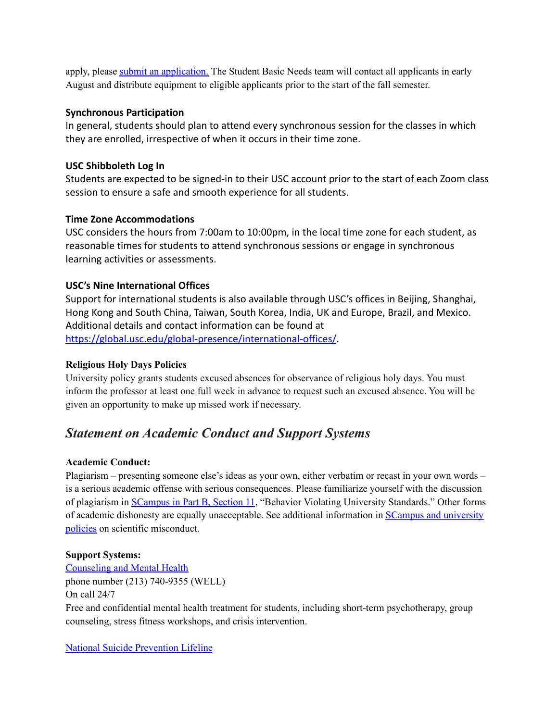apply, please submit an [application.](https://studentbasicneeds.usc.edu/resources/technology-assistance/) The Student Basic Needs team will contact all applicants in early August and distribute equipment to eligible applicants prior to the start of the fall semester.

# **Synchronous Participation**

In general, students should plan to attend every synchronous session for the classes in which they are enrolled, irrespective of when it occurs in their time zone.

# **USC Shibboleth Log In**

Students are expected to be signed-in to their USC account prior to the start of each Zoom class session to ensure a safe and smooth experience for all students.

# **Time Zone Accommodations**

USC considers the hours from 7:00am to 10:00pm, in the local time zone for each student, as reasonable times for students to attend synchronous sessions or engage in synchronous learning activities or assessments.

# **USC's Nine International Offices**

Support for international students is also available through USC's offices in Beijing, Shanghai, Hong Kong and South China, Taiwan, South Korea, India, U[K](http://click.comms.usc.edu/?qs=c79d21e58ec0c0385407e9af52d74744c7d898474dab66d4963816ae0f15c672d2e4c5d0df213a49a55b55494b5ffe13afbf57b2693386b1) and Europe, Brazil, and Mexico. Additional details and contact information can be found at [https://global.usc.edu/global-presence/international-offices/](http://click.comms.usc.edu/?qs=c79d21e58ec0c0385407e9af52d74744c7d898474dab66d4963816ae0f15c672d2e4c5d0df213a49a55b55494b5ffe13afbf57b2693386b1).

# **Religious Holy Days Policies**

University policy grants students excused absences for observance of religious holy days. You must inform the professor at least one full week in advance to request such an excused absence. You will be given an opportunity to make up missed work if necessary.

# *Statement on Academic Conduct and Support Systems*

# **Academic Conduct:**

Plagiarism – presenting someone else's ideas as your own, either verbatim or recast in your own words – is a serious academic offense with serious consequences. Please familiarize yourself with the discussion of plagiarism in [SCampus](http://policy.usc.edu/scampus-part-b) in Part B, Section 11, "Behavior Violating University Standards." Other forms of academic dishonesty are equally unacceptable. See additional information in SCampus and [university](http://policy.usc.edu/scientific-misconduct) [policies](http://policy.usc.edu/scientific-misconduct) on scientific misconduct.

# **Support Systems:**

[Counseling](http://studenthealth.usc.edu/counseling) and Mental Health phone number (213) 740-9355 (WELL) On call 24/7 Free and confidential mental health treatment for students, including short-term psychotherapy, group counseling, stress fitness workshops, and crisis intervention.

# National Suicide [Prevention](http://suicidepreventionlifeline.org/) Lifeline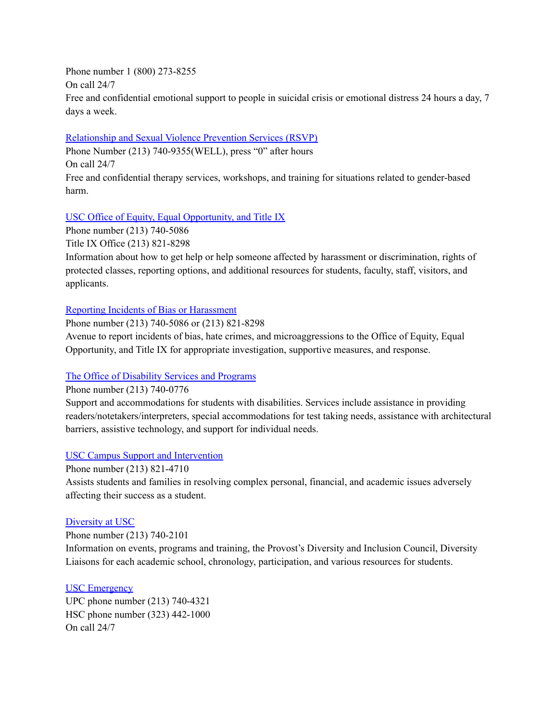Phone number 1 (800) 273-8255 On call 24/7 Free and confidential emotional support to people in suicidal crisis or emotional distress 24 hours a day, 7 days a week.

[Relationship](http://studenthealth.usc.edu/sexual-assault) and Sexual Violence Prevention Services (RSVP)

Phone Number (213) 740-9355(WELL), press "0" after hours

On call 24/7

Free and confidential therapy services, workshops, and training for situations related to gender-based harm.

# USC Office of Equity, Equal [Opportunity,](https://eeotix.usc.edu/) and Title IX

Phone number (213) 740-5086

Title IX Office (213) 821-8298

Information about how to get help or help someone affected by harassment or discrimination, rights of protected classes, reporting options, and additional resources for students, faculty, staff, visitors, and applicants.

#### Reporting Incidents of Bias or [Harassment](https://usc-advocate.symplicity.com/care_report/index.php/pid251030?)

Phone number (213) 740-5086 or (213) 821-8298

Avenue to report incidents of bias, hate crimes, and microaggressions to the Office of Equity, Equal Opportunity, and Title IX for appropriate investigation, supportive measures, and response.

# The Office of [Disability](http://dsp.usc.edu/) Services and Programs

Phone number (213) 740-0776

Support and accommodations for students with disabilities. Services include assistance in providing readers/notetakers/interpreters, special accommodations for test taking needs, assistance with architectural barriers, assistive technology, and support for individual needs.

# USC Campus Support and [Intervention](http://campussupport.usc.edu/)

Phone number (213) 821-4710

Assists students and families in resolving complex personal, financial, and academic issues adversely affecting their success as a student.

#### [Diversity](http://diversity.usc.edu/) at USC

Phone number (213) 740-2101 Information on events, programs and training, the Provost's Diversity and Inclusion Council, Diversity Liaisons for each academic school, chronology, participation, and various resources for students.

#### USC [Emergency](http://dps.usc.edu/)

UPC phone number (213) 740-4321 HSC phone number (323) 442-1000 On call 24/7